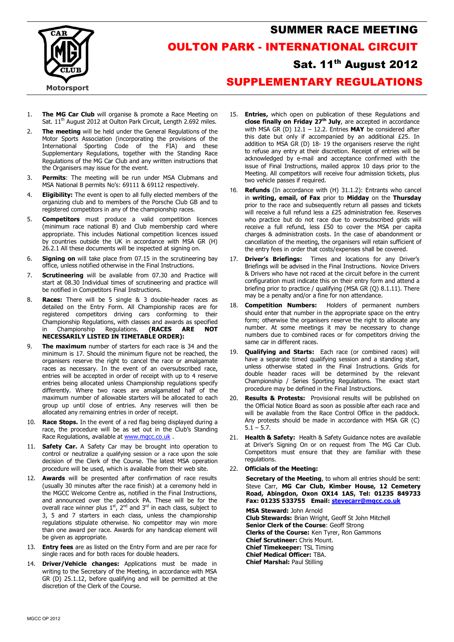

## SUMMER RACE MEETING OULTON PARK - INTERNATIONAL CIRCUIT

## Sat. 11<sup>th</sup> August 2012

## SUPPLEMENTARY REGULATIONS

- 1. The MG Car Club will organise & promote a Race Meeting on Sat. 11<sup>th</sup> August 2012 at Oulton Park Circuit, Length 2.692 miles.
- 2. The meeting will be held under the General Regulations of the Motor Sports Association (incorporating the provisions of the International Sporting Code of the FIA) and these Supplementary Regulations, together with the Standing Race Regulations of the MG Car Club and any written instructions that the Organisers may issue for the event.
- 3. Permits: The meeting will be run under MSA Clubmans and MSA National B permits No's: 69111 & 69112 respectively.
- 4. **Eligibility:** The event is open to all fully elected members of the organizing club and to members of the Porsche Club GB and to registered competitors in any of the championship races.
- 5. **Competitors** must produce a valid competition licences (minimum race national B) and Club membership card where appropriate. This includes National competition licences issued by countries outside the UK in accordance with MSA GR (H) 26.2.1 All these documents will be inspected at signing on.
- 6. Signing on will take place from 07.15 in the scrutineering bay office, unless notified otherwise in the Final Instructions.
- 7. **Scrutineering** will be available from 07.30 and Practice will start at 08.30 Individual times of scrutineering and practice will be notified in Competitors Final Instructions.
- 8. Races: There will be 5 single & 3 double-header races as detailed on the Entry Form. All Championship races are for registered competitors driving cars conforming to their Championship Regulations, with classes and awards as specified<br>in Championship Regulations. (RACES ARE NOT in Championship NECESSARILY LISTED IN TIMETABLE ORDER):
- 9. The maximum number of starters for each race is 34 and the minimum is 17. Should the minimum figure not be reached, the organisers reserve the right to cancel the race or amalgamate races as necessary. In the event of an oversubscribed race, entries will be accepted in order of receipt with up to 4 reserve entries being allocated unless Championship regulations specify differently. Where two races are amalgamated half of the maximum number of allowable starters will be allocated to each group up until close of entries. Any reserves will then be allocated any remaining entries in order of receipt.
- 10. Race Stops. In the event of a red flag being displayed during a race, the procedure will be as set out in the Club's Standing Race Regulations, available at www.mgcc.co.uk.
- 11. Safety Car. A Safety Car may be brought into operation to control or neutralize a qualifying session or a race upon the sole decision of the Clerk of the Course. The latest MSA operation procedure will be used, which is available from their web site.
- 12. **Awards** will be presented after confirmation of race results (usually 30 minutes after the race finish) at a ceremony held in the MGCC Welcome Centre as, notified in the Final Instructions, and announced over the paddock PA. These will be for the overall race winner plus  $1^{st}$ ,  $2^{nd}$  and  $3^{rd}$  in each class, subject to 3, 5 and 7 starters in each class, unless the championship regulations stipulate otherwise. No competitor may win more than one award per race. Awards for any handicap element will be given as appropriate.
- 13. Entry fees are as listed on the Entry Form and are per race for single races and for both races for double headers.
- 14. **Driver/Vehicle changes:** Applications must be made in writing to the Secretary of the Meeting, in accordance with MSA GR (D) 25.1.12, before qualifying and will be permitted at the discretion of the Clerk of the Course.
- 15. **Entries,** which open on publication of these Regulations and close finally on Friday  $27<sup>th</sup>$  July, are accepted in accordance with MSA GR (D)  $12.1 - 12.2$ . Entries MAY be considered after this date but only if accompanied by an additional £25. In addition to MSA GR (D) 18- 19 the organisers reserve the right to refuse any entry at their discretion. Receipt of entries will be acknowledged by e-mail and acceptance confirmed with the issue of Final Instructions, mailed approx 10 days prior to the Meeting. All competitors will receive four admission tickets, plus two vehicle passes if required.
- 16. Refunds (In accordance with (H) 31.1.2): Entrants who cancel in writing, email, of Fax prior to Midday on the Thursday prior to the race and subsequently return all passes and tickets will receive a full refund less a £25 administration fee. Reserves who practice but do not race due to oversubscribed grids will receive a full refund, less £50 to cover the MSA per capita charges & administration costs. In the case of abandonment or cancellation of the meeting, the organisers will retain sufficient of the entry fees in order that costs/expenses shall be covered.
- 17. Driver's Briefings: Times and locations for any Driver's Briefings will be advised in the Final Instructions. Novice Drivers & Drivers who have not raced at the circuit before in the current configuration must indicate this on their entry form and attend a briefing prior to practice / qualifying (MSA GR (Q) 8.1.11). There may be a penalty and/or a fine for non attendance.
- 18. **Competition Numbers:** Holders of permanent numbers should enter that number in the appropriate space on the entry form; otherwise the organisers reserve the right to allocate any number. At some meetings it may be necessary to change numbers due to combined races or for competitors driving the same car in different races.
- 19. **Qualifying and Starts:** Each race (or combined races) will have a separate timed qualifying session and a standing start, unless otherwise stated in the Final Instructions. Grids for double header races will be determined by the relevant Championship / Series Sporting Regulations. The exact start procedure may be defined in the Final Instructions.
- 20. **Results & Protests:** Provisional results will be published on the Official Notice Board as soon as possible after each race and will be available from the Race Control Office in the paddock. Any protests should be made in accordance with MSA GR (C)  $5.1 - 5.7.$
- 21. Health & Safety: Health & Safety Guidance notes are available at Driver's Signing On or on request from The MG Car Club. Competitors must ensure that they are familiar with these regulations.
- 22. Officials of the Meeting:

Secretary of the Meeting, to whom all entries should be sent: Steve Carr, MG Car Club, Kimber House, 12 Cemetery Road, Abingdon, Oxon OX14 1AS, Tel: 01235 849733 Fax: 01235 533755 Email: stevecarr@mgcc.co.uk

MSA Steward: John Arnold Club Stewards: Brian Wright, Geoff St John Mitchell Senior Clerk of the Course: Geoff Strong Clerks of the Course: Ken Tyrer, Ron Gammons Chief Scrutineer: Chris Mount. Chief Timekeeper: TSL Timing Chief Medical Officer: TBA. Chief Marshal: Paul Stilling